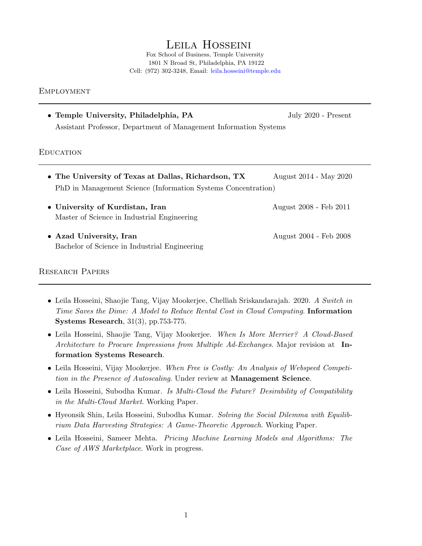# Leila Hosseini

Fox School of Business, Temple University 1801 N Broad St, Philadelphia, PA 19122 Cell: (972) 302-3248, Email: [leila.hosseini@temple.edu](mailto:leila.hosseini@temple.edu)

#### **EMPLOYMENT**

• Temple University, Philadelphia, PA July 2020 - Present Assistant Professor, Department of Management Information Systems

#### **EDUCATION**

- The University of Texas at Dallas, Richardson, TX August 2014 May 2020 PhD in Management Science (Information Systems Concentration)
- University of Kurdistan, Iran August 2008 Feb 2011 Master of Science in Industrial Engineering
- Azad University, Iran August 2004 Feb 2008 Bachelor of Science in Industrial Engineering

#### Research Papers

- Leila Hosseini, Shaojie Tang, Vijay Mookerjee, Chelliah Sriskandarajah. 2020. A Switch in Time Saves the Dime: A Model to Reduce Rental Cost in Cloud Computing. Information Systems Research, 31(3), pp.753-775.
- Leila Hosseini, Shaojie Tang, Vijay Mookerjee. When Is More Merrier? A Cloud-Based Architecture to Procure Impressions from Multiple Ad-Exchanges. Major revision at Information Systems Research.
- Leila Hosseini, Vijay Mookerjee. When Free is Costly: An Analysis of Webspeed Competition in the Presence of Autoscaling. Under review at **Management Science**.
- Leila Hosseini, Subodha Kumar. Is Multi-Cloud the Future? Desirability of Compatibility in the Multi-Cloud Market. Working Paper.
- Hyeonsik Shin, Leila Hosseini, Subodha Kumar. Solving the Social Dilemma with Equilibrium Data Harvesting Strategies: A Game-Theoretic Approach. Working Paper.
- Leila Hosseini, Sameer Mehta. Pricing Machine Learning Models and Algorithms: The Case of AWS Marketplace. Work in progress.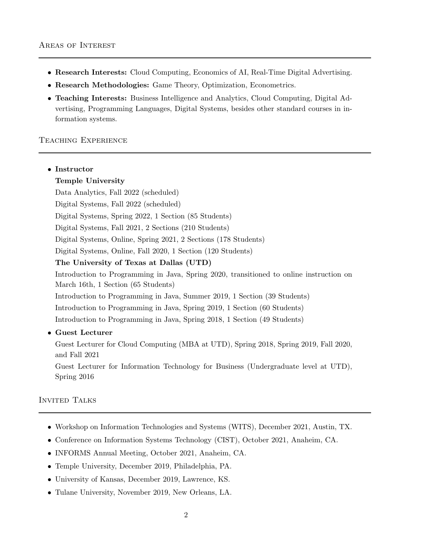- Research Interests: Cloud Computing, Economics of AI, Real-Time Digital Advertising.
- Research Methodologies: Game Theory, Optimization, Econometrics.
- Teaching Interests: Business Intelligence and Analytics, Cloud Computing, Digital Advertising, Programming Languages, Digital Systems, besides other standard courses in information systems.

# Teaching Experience

| $\bullet$ Instructor                                                                    |
|-----------------------------------------------------------------------------------------|
| <b>Temple University</b>                                                                |
| Data Analytics, Fall 2022 (scheduled)                                                   |
| Digital Systems, Fall 2022 (scheduled)                                                  |
| Digital Systems, Spring 2022, 1 Section (85 Students)                                   |
| Digital Systems, Fall 2021, 2 Sections (210 Students)                                   |
| Digital Systems, Online, Spring 2021, 2 Sections (178 Students)                         |
| Digital Systems, Online, Fall 2020, 1 Section (120 Students)                            |
| The University of Texas at Dallas (UTD)                                                 |
| Introduction to Programming in Java, Spring 2020, transitioned to online instruction on |
| March 16th, 1 Section (65 Students)                                                     |
| Introduction to Programming in Java, Summer 2019, 1 Section (39 Students)               |
| Introduction to Programming in Java, Spring 2019, 1 Section (60 Students)               |
| Introduction to Programming in Java, Spring 2018, 1 Section (49 Students)               |
| • Guest Lecturer                                                                        |
| Guest Lecturer for Cloud Computing (MBA at UTD), Spring 2018, Spring 2019, Fall 2020,   |

and Fall 2021 Guest Lecturer for Information Technology for Business (Undergraduate level at UTD), Spring 2016

# Invited Talks

- Workshop on Information Technologies and Systems (WITS), December 2021, Austin, TX.
- Conference on Information Systems Technology (CIST), October 2021, Anaheim, CA.
- INFORMS Annual Meeting, October 2021, Anaheim, CA.
- Temple University, December 2019, Philadelphia, PA.
- University of Kansas, December 2019, Lawrence, KS.
- Tulane University, November 2019, New Orleans, LA.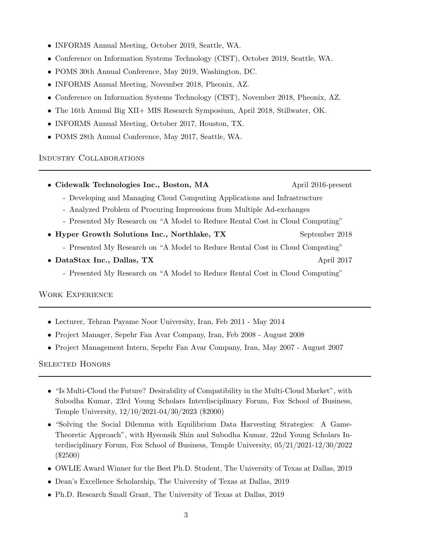- INFORMS Annual Meeting, October 2019, Seattle, WA.
- Conference on Information Systems Technology (CIST), October 2019, Seattle, WA.
- POMS 30th Annual Conference, May 2019, Washington, DC.
- INFORMS Annual Meeting, November 2018, Pheonix, AZ.
- Conference on Information Systems Technology (CIST), November 2018, Pheonix, AZ.
- The 16th Annual Big XII+ MIS Research Symposium, April 2018, Stillwater, OK.
- INFORMS Annual Meeting, October 2017, Houston, TX.
- POMS 28th Annual Conference, May 2017, Seattle, WA.

Industry Collaborations

• Cidewalk Technologies Inc., Boston, MA April 2016-present - Developing and Managing Cloud Computing Applications and Infrastructure - Analyzed Problem of Procuring Impressions from Multiple Ad-exchanges - Presented My Research on "A Model to Reduce Rental Cost in Cloud Computing" • Hyper Growth Solutions Inc., Northlake, TX September 2018 - Presented My Research on "A Model to Reduce Rental Cost in Cloud Computing" • DataStax Inc., Dallas, TX April 2017 - Presented My Research on "A Model to Reduce Rental Cost in Cloud Computing"

# Work Experience

- Lecturer, Tehran Payame Noor University, Iran, Feb 2011 May 2014
- Project Manager, Sepehr Fan Avar Company, Iran, Feb 2008 August 2008
- Project Management Intern, Sepehr Fan Avar Company, Iran, May 2007 August 2007

# Selected Honors

- "Is Multi-Cloud the Future? Desirability of Compatibility in the Multi-Cloud Market", with Subodha Kumar, 23rd Young Scholars Interdisciplinary Forum, Fox School of Business, Temple University, 12/10/2021-04/30/2023 (\$2000)
- "Solving the Social Dilemma with Equilibrium Data Harvesting Strategies: A Game-Theoretic Approach", with Hyeonsik Shin and Subodha Kumar, 22nd Young Scholars Interdisciplinary Forum, Fox School of Business, Temple University, 05/21/2021-12/30/2022 (\$2500)
- OWLIE Award Winner for the Best Ph.D. Student, The University of Texas at Dallas, 2019
- Dean's Excellence Scholarship, The University of Texas at Dallas, 2019
- Ph.D. Research Small Grant, The University of Texas at Dallas, 2019